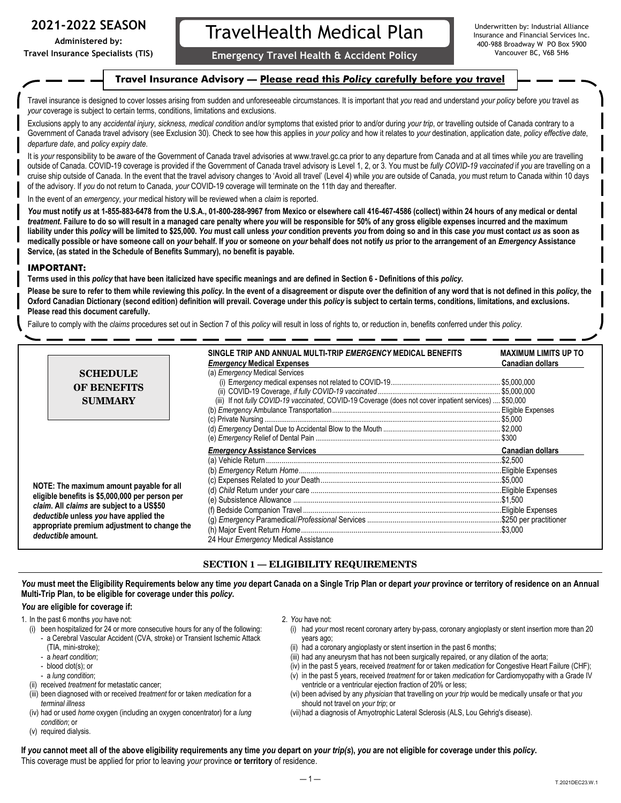## **2021-2022 SEASON**

**Administered by: Travel Insurance Specialists (TIS)**

# TravelHealth Medical Plan

Vancouver BC, V6B 5H6 **Emergency Travel Health & Accident Policy**

Underwritten by: Industrial Alliance Insurance and Financial Services Inc. 400-988 Broadway W PO Box 5900

## **Travel Insurance Advisory — Please read this** *Policy* **carefully before** *you* **travel**

Travel insurance is designed to cover losses arising from sudden and unforeseeable circumstances. It is important that *you* read and understand *your policy* before *you* travel as *your* coverage is subject to certain terms, conditions, limitations and exclusions.

Exclusions apply to any *accidental injury, sickness, medical condition* and/or symptoms that existed prior to and/or during *your trip*, or travelling outside of Canada contrary to a Government of Canada travel advisory (see Exclusion 30). Check to see how this applies in *your policy* and how it relates to *your* destination, application date, *policy effective date*, *departure date*, and *policy expiry date*.

It is *your* responsibility to be aware of the Government of Canada travel advisories at www.travel.gc.ca prior to any departure from Canada and at all times while *you* are travelling outside of Canada. COVID-19 coverage is provided if the Government of Canada travel advisory is Level 1, 2, or 3. You must be *fully COVID-19 vaccinated* if *you* are travelling on a cruise ship outside of Canada. In the event that the travel advisory changes to 'Avoid all travel' (Level 4) while *you* are outside of Canada, *you* must return to Canada within 10 days of the advisory. If *you* do not return to Canada, *your* COVID-19 coverage will terminate on the 11th day and thereafter.

In the event of an *emergency*, *your* medical history will be reviewed when a *claim* is reported.

*You* **must notify** *us* **at 1-855-883-6478 from the U.S.A., 01-800-288-9967 from Mexico or elsewhere call 416-467-4586 (collect) within 24 hours of any medical or dental**  *treatment***. Failure to do so will result in a managed care penalty where** *you* **will be responsible for 50% of any gross eligible expenses incurred and the maximum**  liability under this policy will be limited to \$25,000. You must call unless your condition prevents you from doing so and in this case you must contact us as soon as medically possible or have someone call on your behalf. If you or someone on your behalf does not notify us prior to the arrangement of an Emergency Assistance **Service, (as stated in the Schedule of Benefits Summary), no benefit is payable.** 

## **IMPORTANT:**

**Terms used in this** *policy* **that have been italicized have specific meanings and are defined in Section 6 - Definitions of this** *policy***.** 

**Please be sure to refer to them while reviewing this** *policy***. In the event of a disagreement or dispute over the definition of any word that is not defined in this** *policy***, the**  Oxford Canadian Dictionary (second edition) definition will prevail. Coverage under this policy is subject to certain terms, conditions, limitations, and exclusions. **Please read this document carefully.** 

Failure to comply with the *claims* procedures set out in Section 7 of this *policy* will result in loss of rights to, or reduction in, benefits conferred under this *policy*.

|                                                                                                                                                                                                                                                          |                    | SINGLE TRIP AND ANNUAL MULTI-TRIP <i>EMERGENCY</i> MEDICAL BENEFITS                                     | <b>MAXIMUM LIMITS UP TO</b> |
|----------------------------------------------------------------------------------------------------------------------------------------------------------------------------------------------------------------------------------------------------------|--------------------|---------------------------------------------------------------------------------------------------------|-----------------------------|
|                                                                                                                                                                                                                                                          |                    | <b>Emergency Medical Expenses</b>                                                                       | <b>Canadian dollars</b>     |
|                                                                                                                                                                                                                                                          | <b>SCHEDULE</b>    | (a) <i>Emergency</i> Medical Services                                                                   |                             |
|                                                                                                                                                                                                                                                          |                    |                                                                                                         |                             |
|                                                                                                                                                                                                                                                          | <b>OF BENEFITS</b> |                                                                                                         |                             |
|                                                                                                                                                                                                                                                          | <b>SUMMARY</b>     | (iii) If not fully COVID-19 vaccinated, COVID-19 Coverage (does not cover inpatient services)  \$50,000 |                             |
|                                                                                                                                                                                                                                                          |                    |                                                                                                         |                             |
|                                                                                                                                                                                                                                                          |                    |                                                                                                         |                             |
|                                                                                                                                                                                                                                                          |                    |                                                                                                         |                             |
|                                                                                                                                                                                                                                                          |                    |                                                                                                         | . \$300                     |
|                                                                                                                                                                                                                                                          |                    | <b>Emergency Assistance Services</b>                                                                    | <b>Canadian dollars</b>     |
|                                                                                                                                                                                                                                                          |                    |                                                                                                         |                             |
| NOTE: The maximum amount payable for all<br>eligible benefits is \$5,000,000 per person per<br>claim. All claims are subject to a US\$50<br>deductible unless you have applied the<br>appropriate premium adjustment to change the<br>deductible amount. |                    |                                                                                                         |                             |
|                                                                                                                                                                                                                                                          |                    |                                                                                                         |                             |
|                                                                                                                                                                                                                                                          |                    |                                                                                                         |                             |
|                                                                                                                                                                                                                                                          |                    |                                                                                                         |                             |
|                                                                                                                                                                                                                                                          |                    |                                                                                                         |                             |
|                                                                                                                                                                                                                                                          |                    |                                                                                                         |                             |
|                                                                                                                                                                                                                                                          |                    |                                                                                                         |                             |
|                                                                                                                                                                                                                                                          |                    | 24 Hour Emergency Medical Assistance                                                                    |                             |

## **SECTION 1 — ELIGIBILITY REQUIREMENTS**

You must meet the Eligibility Requirements below any time you depart Canada on a Single Trip Plan or depart your province or territory of residence on an Annual **Multi-Trip Plan, to be eligible for coverage under this** *policy***.** 

## *You* **are eligible for coverage if:**

- 1. In the past 6 months *you* have not:
	- (i) been hospitalized for 24 or more consecutive hours for any of the following:
		- a Cerebral Vascular Accident (CVA, stroke) or Transient Ischemic Attack (TIA, mini-stroke);
		- a *heart condition*;
		- blood clot(s); or
		- a *lung condition*;
	- (ii) received *treatment* for metastatic cancer;
	- (iii) been diagnosed with or received *treatment* for or taken *medication* for a *terminal illness*
	- (iv) had or used *home* oxygen (including an oxygen concentrator) for a *lung condition*; or
	- (v) required dialysis.
- 2. *You* have not:
	- (i) had *your* most recent coronary artery by-pass, coronary angioplasty or stent insertion more than 20 years ago;
	- (ii) had a coronary angioplasty or stent insertion in the past 6 months;
	- (iii) had any aneurysm that has not been surgically repaired, or any dilation of the aorta;
	- (iv) in the past 5 years, received *treatment* for or taken *medication* for Congestive Heart Failure (CHF);
	- (v) in the past 5 years, received *treatment* for or taken *medication* for Cardiomyopathy with a Grade IV ventricle or a ventricular ejection fraction of 20% or less;
	- (vi) been advised by any *physician* that travelling on *your trip* would be medically unsafe or that *you*  should not travel on *your trip*; or
	- (vii)had a diagnosis of Amyotrophic Lateral Sclerosis (ALS, Lou Gehrig's disease).

If you cannot meet all of the above eligibility requirements any time you depart on your trip(s), you are not eligible for coverage under this policy. This coverage must be applied for prior to leaving *your* province **or territory** of residence.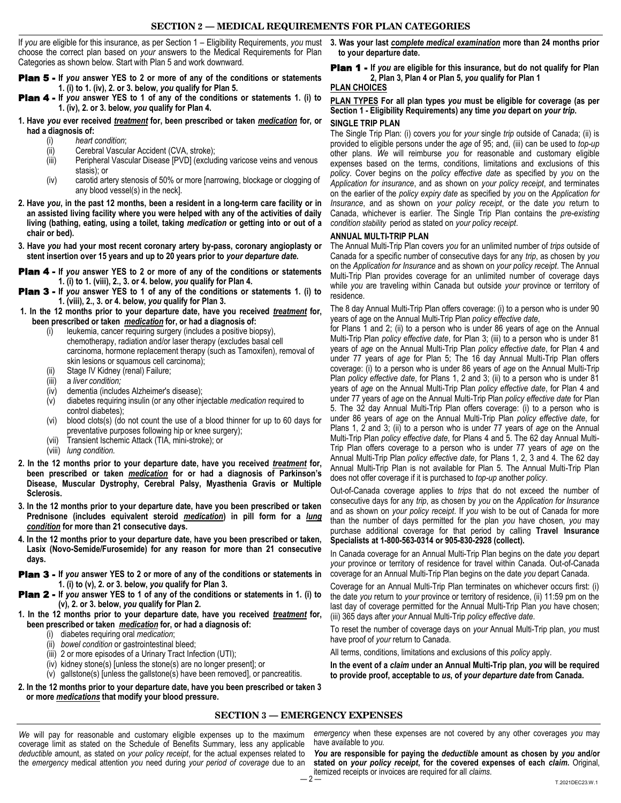If *you* are eligible for this insurance, as per Section 1 – Eligibility Requirements, *you* must choose the correct plan based on *your* answers to the Medical Requirements for Plan Categories as shown below. Start with Plan 5 and work downward.

- Plan 5 **If** *you* **answer YES to 2 or more of any of the conditions or statements 1. (i) to 1. (iv), 2. or 3. below,** *you* **qualify for Plan 5.**
- Plan 4 **If** *you* **answer YES to 1 of any of the conditions or statements 1. (i) to 1. (iv), 2. or 3. below,** *you* **qualify for Plan 4.**
- **1. Have** *you* **ever received** *treatment* **for, been prescribed or taken** *medication* **for, or had a diagnosis of:**
	- (i) *heart condition*;
	- (ii) Cerebral Vascular Accident (CVA, stroke);
	- (iii) Peripheral Vascular Disease [PVD] (excluding varicose veins and venous stasis); or
	- (iv) carotid artery stenosis of 50% or more [narrowing, blockage or clogging of any blood vessel(s) in the neck].
- **2. Have** *you***, in the past 12 months, been a resident in a long-term care facility or in an assisted living facility where you were helped with any of the activities of daily living (bathing, eating, using a toilet, taking** *medication* **or getting into or out of a chair or bed).**
- **3. Have** *you* **had your most recent coronary artery by-pass, coronary angioplasty or stent insertion over 15 years and up to 20 years prior to** *your departure date***.**
- Plan 4 **If** *you* **answer YES to 2 or more of any of the conditions or statements 1. (i) to 1. (viii), 2., 3. or 4. below,** *you* **qualify for Plan 4.**
- Plan 3 **If** *you* **answer YES to 1 of any of the conditions or statements 1. (i) to 1. (viii), 2., 3. or 4. below,** *you* **qualify for Plan 3.**
- **1. In the 12 months prior to your departure date, have you received** *treatment* **for, been prescribed or taken** *medication* **for, or had a diagnosis of:** 
	- (i) leukemia, cancer requiring surgery (includes a positive biopsy), chemotherapy, radiation and/or laser therapy (excludes basal cell carcinoma, hormone replacement therapy (such as Tamoxifen), removal of skin lesions or squamous cell carcinoma);
	- Stage IV Kidney (renal) Failure;
	- (iii) a *liver condition;*
	- (iv) dementia (includes Alzheimer's disease);
	- (v) diabetes requiring insulin (or any other injectable *medication* required to control diabetes);
	- (vi) blood clots(s) (do not count the use of a blood thinner for up to 60 days for preventative purposes following hip or knee surgery);
	- (vii) Transient Ischemic Attack (TIA, mini-stroke); or
	- (viii) *lung condition.*
- **2. In the 12 months prior to your departure date, have you received** *treatment* **for, been prescribed or taken** *medication* **for or had a diagnosis of Parkinson's Disease, Muscular Dystrophy, Cerebral Palsy, Myasthenia Gravis or Multiple Sclerosis.**
- **3. In the 12 months prior to your departure date, have you been prescribed or taken Prednisone (includes equivalent steroid** *medication***) in pill form for a** *lung condition* **for more than 21 consecutive days.**
- **4. In the 12 months prior to your departure date, have you been prescribed or taken, Lasix (Novo-Semide/Furosemide) for any reason for more than 21 consecutive days.**
- Plan 3 **If** *you* **answer YES to 2 or more of any of the conditions or statements in 1. (i) to (v), 2. or 3. below,** *you* **qualify for Plan 3.**
- Plan 2 **If** *you* **answer YES to 1 of any of the conditions or statements in 1. (i) to (v), 2. or 3. below,** *you* **qualify for Plan 2.**
- **1. In the 12 months prior to your departure date, have you received** *treatment* **for, been prescribed or taken** *medication* **for, or had a diagnosis of:** 
	- (i) diabetes requiring oral *medication*;
	- (ii) *bowel condition* or gastrointestinal bleed;
	- (iii) 2 or more episodes of a Urinary Tract Infection (UTI);
	- (iv) kidney stone(s) [unless the stone(s) are no longer present]; or
	- (v) gallstone(s) [unless the gallstone(s) have been removed], or pancreatitis.
- **2. In the 12 months prior to your departure date, have you been prescribed or taken 3 or more** *medications* **that modify your blood pressure.**

**3. Was your last** *complete medical examination* **more than 24 months prior to your departure date.** 

Plan 1 - **If** *you* **are eligible for this insurance, but do not qualify for Plan 2, Plan 3, Plan 4 or Plan 5,** *you* **qualify for Plan 1**

## **PLAN CHOICES**

## **PLAN TYPES For all plan types** *you* **must be eligible for coverage (as per Section 1 - Eligibility Requirements) any time** *you* **depart on** *your trip***.**

## **SINGLE TRIP PLAN**

The Single Trip Plan: (i) covers *you* for *your* single *trip* outside of Canada; (ii) is provided to eligible persons under the *age* of 95; and, (iii) can be used to *top-up*  other plans. *We* will reimburse *you* for reasonable and customary eligible expenses based on the terms, conditions, limitations and exclusions of this *policy*. Cover begins on the *policy effective date* as specified by *you* on the *Application for insurance*, and as shown on *your policy receipt*, and terminates on the earlier of the *policy expiry date* as specified by *you* on the *Application for Insurance*, and as shown on *your policy receipt*, or the date *you* return to Canada, whichever is earlier. The Single Trip Plan contains the *pre-existing condition stability* period as stated on *your policy receipt*.

## **ANNUAL MULTI-TRIP PLAN**

The Annual Multi-Trip Plan covers *you* for an unlimited number of *trips* outside of Canada for a specific number of consecutive days for any *trip*, as chosen by *you*  on the *Application for Insurance* and as shown on *your policy receipt*. The Annual Multi-Trip Plan provides coverage for an unlimited number of coverage days while *you* are traveling within Canada but outside *your* province or territory of residence.

The 8 day Annual Multi-Trip Plan offers coverage: (i) to a person who is under 90 years of age on the Annual Multi-Trip Plan *policy effective date*,

for Plans 1 and 2; (ii) to a person who is under 86 years of age on the Annual Multi-Trip Plan *policy effective date*, for Plan 3; (iii) to a person who is under 81 years of *age* on the Annual Multi-Trip Plan *policy effective date*, for Plan 4 and under 77 years of *age* for Plan 5; The 16 day Annual Multi-Trip Plan offers coverage: (i) to a person who is under 86 years of *age* on the Annual Multi-Trip Plan *policy effective date*, for Plans 1, 2 and 3; (ii) to a person who is under 81 years of *age* on the Annual Multi-Trip Plan *policy effective date*, for Plan 4 and under 77 years of *age* on the Annual Multi-Trip Plan *policy effective date* for Plan 5. The 32 day Annual Multi-Trip Plan offers coverage: (i) to a person who is under 86 years of *age* on the Annual Multi-Trip Plan *policy effective date*, for Plans 1, 2 and 3; (ii) to a person who is under 77 years of *age* on the Annual Multi-Trip Plan *policy effective date*, for Plans 4 and 5. The 62 day Annual Multi-Trip Plan offers coverage to a person who is under 77 years of *age* on the Annual Multi-Trip Plan *policy effective date*, for Plans 1, 2, 3 and 4. The 62 day Annual Multi-Trip Plan is not available for Plan 5. The Annual Multi-Trip Plan does not offer coverage if it is purchased to *top-up* another *policy*.

Out-of-Canada coverage applies to *trips* that do not exceed the number of consecutive days for any *trip*, as chosen by *you* on the *Application for Insurance*  and as shown on *your policy receipt*. If *you* wish to be out of Canada for more than the number of days permitted for the plan *you* have chosen, *you* may purchase additional coverage for that period by calling **Travel Insurance Specialists at 1-800-563-0314 or 905-830-2928 (collect).** 

In Canada coverage for an Annual Multi-Trip Plan begins on the date *you* depart *your* province or territory of residence for travel within Canada. Out-of-Canada coverage for an Annual Multi-Trip Plan begins on the date *you* depart Canada.

Coverage for an Annual Multi-Trip Plan terminates on whichever occurs first: (i) the date *you* return to *your* province or territory of residence, (ii) 11:59 pm on the last day of coverage permitted for the Annual Multi-Trip Plan *you* have chosen; (iii) 365 days after *your* Annual Multi-Trip *policy effective date*.

To reset the number of coverage days on *your* Annual Multi-Trip plan, *you* must have proof of *your* return to Canada.

All terms, conditions, limitations and exclusions of this *policy* apply.

**In the event of a** *claim* **under an Annual Multi-Trip plan,** *you* **will be required to provide proof, acceptable to** *us***, of** *your departure date* **from Canada.** 

## **SECTION 3 — EMERGENCY EXPENSES**

*We* will pay for reasonable and customary eligible expenses up to the maximum coverage limit as stated on the Schedule of Benefits Summary, less any applicable *deductible* amount, as stated on *your policy receipt*, for the actual expenses related to the *emergency* medical attention *you* need during *your period of coverage* due to an

*emergency* when these expenses are not covered by any other coverages *you* may have available to *you*.

*You* **are responsible for paying the** *deductible* **amount as chosen by** *you* **and/or stated on** *your policy receipt***, for the covered expenses of each** *claim***.** Original, itemized receipts or invoices are required for all *claims*.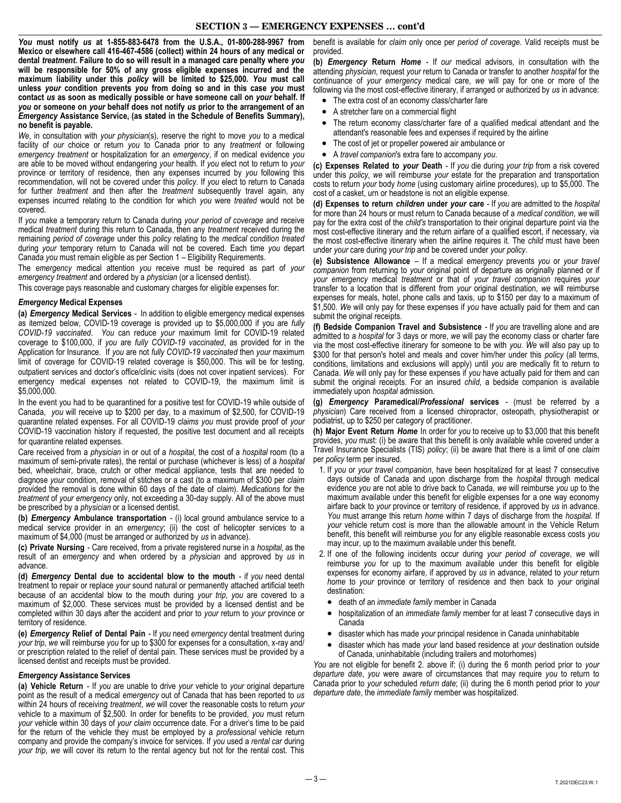*You* **must notify** *us* **at 1-855-883-6478 from the U.S.A., 01-800-288-9967 from Mexico or elsewhere call 416-467-4586 (collect) within 24 hours of any medical or dental** *treatment***. Failure to do so will result in a managed care penalty where** *you*  **will be responsible for 50% of any gross eligible expenses incurred and the maximum liability under this** *policy* **will be limited to \$25,000.** *You* **must call unless** *your* **condition prevents** *you* **from doing so and in this case** *you* **must contact** *us* **as soon as medically possible or have someone call on** *your* **behalf. If**  *you* **or someone on** *your* **behalf does not notify** *us* **prior to the arrangement of an**  *Emergency* **Assistance Service, (as stated in the Schedule of Benefits Summary), no benefit is payable.** 

*We*, in consultation with *your physician*(s), reserve the right to move *you* to a medical facility of *our* choice or return *you* to Canada prior to any *treatment* or following *emergency treatment* or hospitalization for an *emergency*, if on medical evidence *you*  are able to be moved without endangering *your* health. If *you* elect not to return to *your*  province or territory of residence, then any expenses incurred by *you* following this recommendation, will not be covered under this *policy*. If *you* elect to return to Canada for further *treatment* and then after the *treatment* subsequently travel again, any expenses incurred relating to the condition for which *you* were *treated* would not be covered.

If *you* make a temporary return to Canada during *your period of coverage* and receive medical *treatment* during this return to Canada, then any *treatment* received during the remaining *period of coverage* under this *policy* relating to the *medical condition treated*  during *your* temporary return to Canada will not be covered. Each time *you* depart Canada *you* must remain eligible as per Section 1 – Eligibility Requirements.

The *emergency* medical attention *you* receive must be required as part of *your emergency treatment* and ordered by a *physician* (or a licensed dentist).

This coverage pays reasonable and customary charges for eligible expenses for:

#### *Emergency* **Medical Expenses**

**(a)** *Emergency* **Medical Services** - In addition to eligible emergency medical expenses as itemized below, COVID-19 coverage is provided up to \$5,000,000 if you are *fully COVID-19 vaccinated*. *You* can reduce *your* maximum limit for COVID-19 related coverage to \$100,000, if *you* are *fully COVID-19 vaccinated*, as provided for in the Application for Insurance. If *you* are not *fully COVID-19 vaccinated* then *your* maximum limit of coverage for COVID-19 related coverage is \$50,000. This will be for testing, outpatient services and doctor's office/clinic visits (does not cover inpatient services). For emergency medical expenses not related to COVID-19, the maximum limit is \$5,000,000.

In the event you had to be quarantined for a positive test for COVID-19 while outside of Canada, *you* will receive up to \$200 per day, to a maximum of \$2,500, for COVID-19 quarantine related expenses. For all COVID-19 *claims you* must provide proof of *your*  COVID-19 vaccination history if requested, the positive test document and all receipts for quarantine related expenses.

Care received from a *physician* in or out of a *hospital*, the cost of a *hospital* room (to a maximum of semi-private rates), the rental or purchase (whichever is less) of a *hospital*  bed, wheelchair, brace, crutch or other medical appliance, tests that are needed to diagnose *your* condition, removal of stitches or a cast (to a maximum of \$300 per *claim*  provided the removal is done within 60 days of the date of *claim*). *Medications* for the *treatment* of *your emergency* only, not exceeding a 30-day supply. All of the above must be prescribed by a *physician* or a licensed dentist.

**(b)** *Emergency* **Ambulance transportation** - (i) local ground ambulance service to a medical service provider in an *emergency*; (ii) the cost of helicopter services to a maximum of \$4,000 (must be arranged or authorized by *us* in advance).

**(c) Private Nursing** - Care received, from a private registered nurse in a *hospital*, as the result of an *emergency* and when ordered by a *physician* and approved by *us* in advance.

**(d)** *Emergency* **Dental due to accidental blow to the mouth** - if *you* need dental treatment to repair or replace *your* sound natural or permanently attached artificial teeth because of an accidental blow to the mouth during *your trip*, *you* are covered to a maximum of \$2,000. These services must be provided by a licensed dentist and be completed within 30 days after the accident and prior to *your* return to *your* province or territory of residence.

**(e)** *Emergency* **Relief of Dental Pain** - If *you* need *emergency* dental treatment during *your trip*, *we* will reimburse *you* for up to \$300 for expenses for a consultation, x-ray and/ or prescription related to the relief of dental pain. These services must be provided by a licensed dentist and receipts must be provided.

## *Emergency* **Assistance Services**

**(a) Vehicle Return** - If *you* are unable to drive *your* vehicle to *your* original departure point as the result of a medical *emergency* out of Canada that has been reported to *us*  within 24 hours of receiving *treatment*, *we* will cover the reasonable costs to return *your*  vehicle to a maximum of \$2,500. In order for benefits to be provided, *you* must return *your* vehicle within 30 days of *your claim* occurrence date. For a driver's time to be paid for the return of the vehicle they must be employed by a *professional* vehicle return company and provide the company's invoice for services. If *you* used a *rental car* during *your trip*, *we* will cover its return to the rental agency but not for the rental cost. This

benefit is available for *claim* only once per *period of coverage*. Valid receipts must be provided.

**(b)** *Emergency* **Return** *Home* - If *our* medical advisors, in consultation with the attending *physician*, request *your* return to Canada or transfer to another *hospital* for the continuance of *your emergency* medical care, *we* will pay for one or more of the following via the most cost-effective itinerary, if arranged or authorized by *us* in advance:

- The extra cost of an economy class/charter fare
- A stretcher fare on a commercial flight
- The return economy class/charter fare of a qualified medical attendant and the attendant's reasonable fees and expenses if required by the airline
- The cost of jet or propeller powered air ambulance or
- A *travel companion*'s extra fare to accompany *you*.

**(c) Expenses Related to** *your* **Death** - If *you* die during *your trip* from a risk covered under this *policy*, *we* will reimburse *your* estate for the preparation and transportation costs to return *your* body *home* (using customary airline procedures), up to \$5,000. The cost of a casket, urn or headstone is not an eligible expense.

**(d) Expenses to return** *children* **under** *your* **care** - If *you* are admitted to the *hospital*  for more than 24 hours or must return to Canada because of a *medical condition*, *we* will pay for the extra cost of the *child's* transportation to their original departure point via the most cost-effective itinerary and the return airfare of a qualified escort, if necessary, via the most cost-effective itinerary when the airline requires it. The *child* must have been under *your* care during *your trip* and be covered under *your policy*.

**(e) Subsistence Allowance** – If a medical *emergency* prevents *you* or *your travel companion* from returning to *your* original point of departure as originally planned or if *your emergency* medical *treatment* or that of *your travel companion* requires *your*  transfer to a location that is different from *your* original destination, *we* will reimburse expenses for meals, hotel, phone calls and taxis, up to \$150 per day to a maximum of \$1,500. *We* will only pay for these expenses if *you* have actually paid for them and can submit the original receipts.

**(f) Bedside Companion Travel and Subsistence** - If *you* are travelling alone and are admitted to a *hospital* for 3 days or more, *we* will pay the economy class or charter fare via the most cost-effective itinerary for someone to be with *you*. *We* will also pay up to \$300 for that person's hotel and meals and cover him/her under this *policy* (all terms, conditions, limitations and exclusions will apply) until *you* are medically fit to return to Canada. *We* will only pay for these expenses if *you* have actually paid for them and can submit the original receipts. For an insured *child*, a bedside companion is available immediately upon *hospital* admission.

**(g)** *Emergency* **Paramedical/***Professional* **services** - (must be referred by a *physician*) Care received from a licensed chiropractor, osteopath, physiotherapist or podiatrist, up to \$250 per category of practitioner.

**(h) Major Event Return** *Home* In order for *you* to receive up to \$3,000 that this benefit provides, *you* must: (i) be aware that this benefit is only available while covered under a Travel Insurance Specialists (TIS) *policy*; (ii) be aware that there is a limit of one *claim*  per *policy* term per insured.

- 1. If *you* or *your travel companion*, have been hospitalized for at least 7 consecutive days outside of Canada and upon discharge from the *hospital* through medical evidence *you* are not able to drive back to Canada, *we* will reimburse *you* up to the maximum available under this benefit for eligible expenses for a one way economy airfare back to *your* province or territory of residence, if approved by *us* in advance. *You* must arrange this return *home* within 7 days of discharge from the *hospital*. If *your* vehicle return cost is more than the allowable amount in the Vehicle Return benefit, this benefit will reimburse *you* for any eligible reasonable excess costs *you*  may incur, up to the maximum available under this benefit.
- 2. If one of the following incidents occur during *your period of coverage*, *we* will reimburse *you* for up to the maximum available under this benefit for eligible expenses for economy airfare, if approved by *us* in advance, related to *your* return *home* to *your* province or territory of residence and then back to *your* original destination:
	- death of an *immediate family* member in Canada
	- hospitalization of an *immediate family* member for at least 7 consecutive days in Canada
	- disaster which has made *your* principal residence in Canada uninhabitable
	- disaster which has made *your* land based residence at *your* destination outside of Canada, uninhabitable (including trailers and motorhomes)

*You* are not eligible for benefit 2. above if: (i) during the 6 month period prior to *your departure date*, *you* were aware of circumstances that may require *you* to return to Canada prior to *your* scheduled *return date*; (ii) during the 6 month period prior to *your departure date*, the *immediate family* member was hospitalized.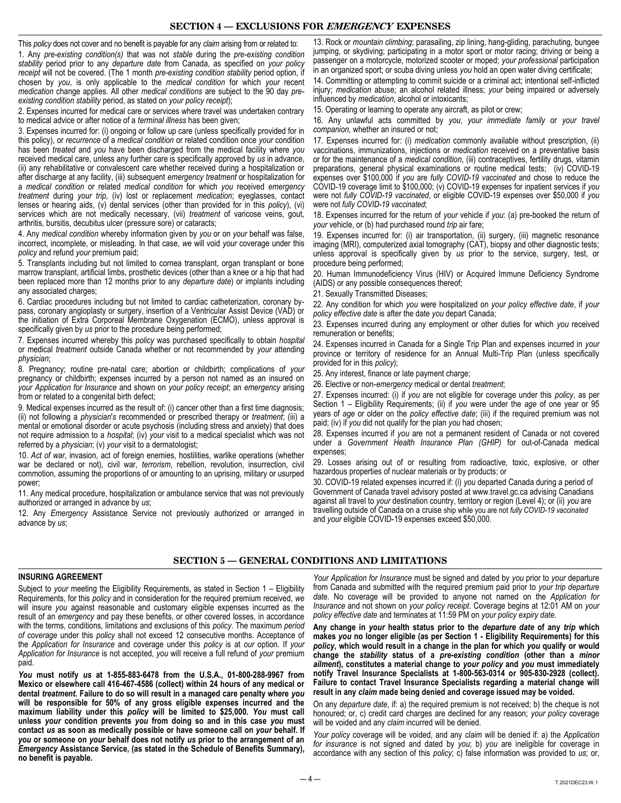## **SECTION 4 — EXCLUSIONS FOR EMERGENCY EXPENSES**

This *policy* does not cover and no benefit is payable for any *claim* arising from or related to:

1. Any *pre-existing condition(s)* that was not *stable* during the *pre-existing condition stability* period prior to any *departure date* from Canada, as specified on *your policy receipt* will not be covered. (The 1 month *pre-existing condition stability* period option, if chosen by *you*, is only applicable to the *medical condition* for which *your* recent *medication* change applies. All other *medical conditions* are subject to the 90 day *preexisting condition stability* period, as stated on *your policy receipt*);

2. Expenses incurred for medical care or services where travel was undertaken contrary to medical advice or after notice of a *terminal illness* has been given;

3. Expenses incurred for: (i) ongoing or follow up care (unless specifically provided for in this policy), or *recurrence* of a *medical condition* or related condition once *your* condition has been *treated* and *you* have been discharged from the medical facility where *you*  received medical care, unless any further care is specifically approved by *us* in advance, (ii) any rehabilitative or convalescent care whether received during a hospitalization or after discharge at any facility, (iii) subsequent *emergency treatment* or hospitalization for a *medical condition* or related *medical condition* for which *you* received *emergency treatment* during *your trip*, (iv) lost or replacement *medication*; eyeglasses, contact lenses or hearing aids, (v) dental services (other than provided for in this *policy*), (vi) services which are not medically necessary, (vii) *treatment* of varicose veins, gout, arthritis, bursitis, decubitus ulcer (pressure sore) or cataracts;

4. Any *medical condition* whereby information given by *you* or on *your* behalf was false, incorrect, incomplete, or misleading. In that case, *we* will void *your* coverage under this *policy* and refund *your* premium paid;

5. Transplants including but not limited to cornea transplant, organ transplant or bone marrow transplant, artificial limbs, prosthetic devices (other than a knee or a hip that had been replaced more than 12 months prior to any *departure date*) or implants including any associated charges;

6. Cardiac procedures including but not limited to cardiac catheterization, coronary bypass, coronary angioplasty or surgery, insertion of a Ventricular Assist Device (VAD) or the initiation of Extra Corporeal Membrane Oxygenation (ECMO), unless approval is specifically given by *us* prior to the procedure being performed;

7. Expenses incurred whereby this *policy* was purchased specifically to obtain *hospital*  or medical *treatment* outside Canada whether or not recommended by *your* attending *physician*;

8. Pregnancy; routine pre-natal care; abortion or childbirth; complications of *your*  pregnancy or childbirth; expenses incurred by a person not named as an insured on *your Application for Insurance* and shown on *your policy receipt*; an *emergency* arising from or related to a congenital birth defect;

9. Medical expenses incurred as the result of: (i) cancer other than a first time diagnosis; (ii) not following a *physician*'*s* recommended or prescribed therapy or *treatment*; (iii) a mental or emotional disorder or acute psychosis (including stress and anxiety) that does not require admission to a *hospital*; (iv) *your* visit to a medical specialist which was not referred by a *physician*; (v) *your* visit to a dermatologist;

10. *Act of war*, invasion, act of foreign enemies, hostilities, warlike operations (whether war be declared or not), civil war, *terrorism*, rebellion, revolution, insurrection, civil commotion, assuming the proportions of or amounting to an uprising, military or usurped power;

11. Any medical procedure, hospitalization or ambulance service that was not previously authorized or arranged in advance by *us*;

12. Any *Emergency* Assistance Service not previously authorized or arranged in advance by *us*;

13. Rock or *mountain climbing*; parasailing, zip lining, hang-gliding, parachuting, bungee jumping, or skydiving; participating in a motor sport or motor racing; driving or being a passenger on a motorcycle, motorized scooter or moped; *your professional* participation in an organized sport; or scuba diving unless *you* hold an open water diving certificate;

14. Committing or attempting to commit suicide or a criminal act; intentional self-inflicted injury; *medication* abuse; an alcohol related illness; *your* being impaired or adversely influenced by *medication*, alcohol or intoxicants;

15. Operating or learning to operate any aircraft, as pilot or crew;

16. Any unlawful acts committed by *you*, *your immediate family* or *your travel companion*, whether an insured or not;

17. Expenses incurred for: (i) *medication* commonly available without prescription, (ii) vaccinations, immunizations, injections or *medication* received on a preventative basis or for the maintenance of a *medical condition*, (iii) contraceptives, fertility drugs, vitamin preparations, general physical examinations or routine medical tests; (iv) COVID-19 expenses over \$100,000 if *you* are *fully COVID-19 vaccinated* and chose to reduce the COVID-19 coverage limit to \$100,000; (v) COVID-19 expenses for inpatient services if *you*  were not *fully COVID-19 vaccinated*, or eligible COVID-19 expenses over \$50,000 if *you*  were not *fully COVID-19 vaccinated*;

18. Expenses incurred for the return of *your* vehicle if *you*: (a) pre-booked the return of *your* vehicle, or (b) had purchased round *trip* air fare;

19. Expenses incurred for: (i) air transportation, (ii) surgery, (iii) magnetic resonance imaging (MRI), computerized axial tomography (CAT), biopsy and other diagnostic tests; unless approval is specifically given by *us* prior to the service, surgery, test, or procedure being performed;

20. Human Immunodeficiency Virus (HIV) or Acquired Immune Deficiency Syndrome (AIDS) or any possible consequences thereof;

21. Sexually Transmitted Diseases;

22. Any condition for which *you* were hospitalized on *your policy effective date*, if *your policy effective date* is after the date *you* depart Canada;

23. Expenses incurred during any employment or other duties for which *you* received remuneration or benefits;

24. Expenses incurred in Canada for a Single Trip Plan and expenses incurred in *your*  province or territory of residence for an Annual Multi-Trip Plan (unless specifically provided for in this *policy*);

25. Any interest, finance or late payment charge;

26. Elective or non-*emergency* medical or dental *treatment*;

27. Expenses incurred: (i) if *you* are not eligible for coverage under this *policy*, as per Section 1 – Eligibility Requirements; (ii) if *you* were under the *age* of one year or 95 years of *age* or older on the *policy effective date*; (iii) if the required premium was not paid; (iv) if *you* did not qualify for the plan *you* had chosen;

28. Expenses incurred if *you* are not a permanent resident of Canada or not covered under a Government Health Insurance Plan (GHIP) for out-of-Canada medical expenses;

29. Losses arising out of or resulting from radioactive, toxic, explosive, or other hazardous properties of nuclear materials or by products; or

30. COVID-19 related expenses incurred if: (i) *you* departed Canada during a period of Government of Canada travel advisory posted at www.travel.gc.ca advising Canadians against all travel to *your* destination country, territory or region (Level 4); or (ii) *you* are travelling outside of Canada on a cruise ship while you are not *fully COVID-19 vaccinated* and *your* eligible COVID-19 expenses exceed \$50,000.

## **SECTION 5 — GENERAL CONDITIONS AND LIMITATIONS**

#### **INSURING AGREEMENT**

Subject to *your* meeting the Eligibility Requirements, as stated in Section 1 – Eligibility Requirements, for this *policy* and in consideration for the required premium received, *we*  will insure *you* against reasonable and customary eligible expenses incurred as the result of an *emergency* and pay these benefits, or other covered losses, in accordance with the terms, conditions, limitations and exclusions of this *policy*. The maximum *period of coverage* under this *policy* shall not exceed 12 consecutive months. Acceptance of the *Application for Insurance* and coverage under this *policy* is at *our* option. If *your Application for Insurance* is not accepted, *you* will receive a full refund of *your* premium paid.

*You* **must notify** *us* **at 1-855-883-6478 from the U.S.A., 01-800-288-9967 from Mexico or elsewhere call 416-467-4586 (collect) within 24 hours of any medical or dental** *treatment***. Failure to do so will result in a managed care penalty where** *you*  **will be responsible for 50% of any gross eligible expenses incurred and the maximum liability under this** *policy* **will be limited to \$25,000.** *You* **must call unless** *your* **condition prevents** *you* **from doing so and in this case** *you* **must contact** *us* **as soon as medically possible or have someone call on** *your* **behalf. If**  *you* **or someone on** *your* **behalf does not notify** *us* **prior to the arrangement of an**  *Emergency* **Assistance Service, (as stated in the Schedule of Benefits Summary), no benefit is payable.** 

*Your Application for Insurance* must be signed and dated by *you* prior to *your* departure from Canada and submitted with the required premium paid prior to *your trip departure date*. No coverage will be provided to anyone not named on the *Application for Insurance* and not shown on *your policy receipt*. Coverage begins at 12:01 AM on *your policy effective date* and terminates at 11:59 PM on *your policy expiry date*.

**Any change in** *your* **health status prior to the** *departure date* **of any** *trip* **which makes** *you* **no longer eligible (as per Section 1 - Eligibility Requirements) for this**  *policy***, which would result in a change in the plan for which** *you* **qualify or would change the** *stability* **status of a** *pre-existing condition* **(other than a** *minor ailment***), constitutes a material change to** *your policy* **and** *you* **must immediately notify Travel Insurance Specialists at 1-800-563-0314 or 905-830-2928 (collect). Failure to contact Travel Insurance Specialists regarding a material change will result in any** *claim* **made being denied and coverage issued may be voided.** 

On any *departure date*, if: a) the required premium is not received; b) the cheque is not honoured; or, c) credit card charges are declined for any reason; *your policy* coverage will be voided and any *claim* incurred will be denied.

*Your policy* coverage will be voided, and any *claim* will be denied if: a) the *Application for insurance* is not signed and dated by *you*; b) *you* are ineligible for coverage in accordance with any section of this *policy*; c) false information was provided to *us*; or,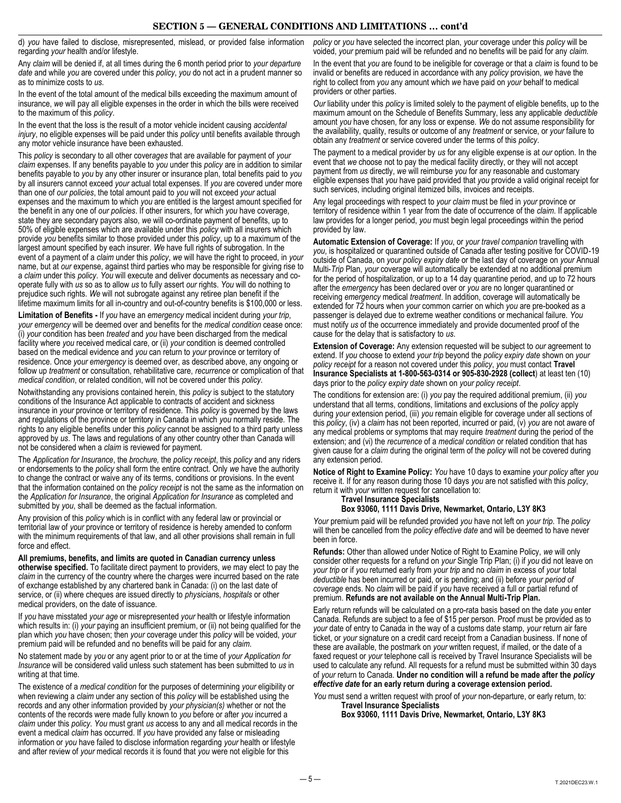d) *you* have failed to disclose, misrepresented, mislead, or provided false information regarding *your* health and/or lifestyle.

Any *claim* will be denied if, at all times during the 6 month period prior to *your departure date* and while *you* are covered under this *policy*, *you* do not act in a prudent manner so as to minimize costs to *us*.

In the event of the total amount of the medical bills exceeding the maximum amount of insurance, *we* will pay all eligible expenses in the order in which the bills were received to the maximum of this *policy*.

In the event that the loss is the result of a motor vehicle incident causing *accidental injury*, no eligible expenses will be paid under this *policy* until benefits available through any motor vehicle insurance have been exhausted.

This *policy* is secondary to all other cover*ages* that are available for payment of *your claim* expenses. If any benefits payable to *you* under this *policy* are in addition to similar benefits payable to *you* by any other insurer or insurance plan, total benefits paid to *you*  by all insurers cannot exceed *your* actual total expenses. If *you* are covered under more than one of *our policies*, the total amount paid to *you* will not exceed *your* actual expenses and the maximum to which *you* are entitled is the largest amount specified for the benefit in any one of *our policies*. If other insurers, for which *you* have coverage, state they are secondary payors also, *we* will co-ordinate payment of benefits, up to 50% of eligible expenses which are available under this *policy* with all insurers which provide *you* benefits similar to those provided under this *policy*, up to a maximum of the largest amount specified by each insurer. *We* have full rights of subrogation. In the event of a payment of a *claim* under this *policy*, *we* will have the right to proceed, in *your*  name, but at *our* expense, against third parties who may be responsible for giving rise to a *claim* under this *policy*. *You* will execute and deliver documents as necessary and cooperate fully with *us* so as to allow *us* to fully assert *our* rights. *You* will do nothing to prejudice such rights. *We* will not subrogate against any retiree plan benefit if the lifetime maximum limits for all in-country and out-of-country benefits is \$100,000 or less.

**Limitation of Benefits -** If *you* have an *emergency* medical incident during *your trip*, *your emergency* will be deemed over and benefits for the *medical condition* cease once: (i) *your* condition has been *treated* and *you* have been discharged from the medical facility where *you* received medical care, or (ii) *your* condition is deemed controlled based on the medical evidence and *you* can return to *your* province or territory of residence. Once *your emergency* is deemed over, as described above, any ongoing or follow up *treatment* or consultation, rehabilitative care, *recurrence* or complication of that *medical condition*, or related condition, will not be covered under this *policy*.

Notwithstanding any provisions contained herein, this *policy* is subject to the statutory conditions of the Insurance Act applicable to contracts of accident and sickness insurance in *your* province or territory of residence. This *policy* is governed by the laws and regulations of the province or territory in Canada in which *you* normally reside. The rights to any eligible benefits under this *policy* cannot be assigned to a third party unless approved by *us*. The laws and regulations of any other country other than Canada will not be considered when a *claim* is reviewed for payment.

The *Application for Insurance*, the *brochure,* the *policy receipt*, this *policy* and any riders or endorsements to the *policy* shall form the entire contract. Only *we* have the authority to change the contract or waive any of its terms, conditions or provisions. In the event that the information contained on the *policy receipt* is not the same as the information on the *Application for Insurance*, the original *Application for Insurance* as completed and submitted by *you*, shall be deemed as the factual information.

Any provision of this *policy* which is in conflict with any federal law or provincial or territorial law of *your* province or territory of residence is hereby amended to conform with the minimum requirements of that law, and all other provisions shall remain in full force and effect.

**All premiums, benefits, and limits are quoted in Canadian currency unless otherwise specified.** To facilitate direct payment to providers, *we* may elect to pay the *claim* in the currency of the country where the charges were incurred based on the rate of exchange established by any chartered bank in Canada: (i) on the last date of service, or (ii) where cheques are issued directly to *physician*s, *hospitals* or other medical providers, on the date of issuance.

If *you* have misstated *your age* or misrepresented *your* health or lifestyle information which results in: (i) *your* paying an insufficient premium, or (ii) not being qualified for the plan which *you* have chosen; then *your* coverage under this *policy* will be voided, *your*  premium paid will be refunded and no benefits will be paid for any *claim*.

No statement made by *you* or any agent prior to or at the time of *your Application for Insurance* will be considered valid unless such statement has been submitted to *us* in writing at that time.

The existence of a *medical condition* for the purposes of determining *your* eligibility or when reviewing a *claim* under any section of this *policy* will be established using the records and any other information provided by *your physician(s)* whether or not the contents of the records were made fully known to *you* before or after *you* incurred a *claim* under this *policy*. *You* must grant *us* access to any and all medical records in the event a medical *claim* has occurred. If *you* have provided any false or misleading information or *you* have failed to disclose information regarding *your* health or lifestyle and after review of *your* medical records it is found that *you* were not eligible for this

*policy* or *you* have selected the incorrect plan, *your* coverage under this *policy* will be voided, *your* premium paid will be refunded and no benefits will be paid for any *claim*.

In the event that *you* are found to be ineligible for coverage or that a *claim* is found to be invalid or benefits are reduced in accordance with any *policy* provision, *we* have the right to collect from *you* any amount which *we* have paid on *your* behalf to medical providers or other parties.

*Our* liability under this *policy* is limited solely to the payment of eligible benefits, up to the maximum amount on the Schedule of Benefits Summary, less any applicable *deductible*  amount *you* have chosen, for any loss or expense. *We* do not assume responsibility for the availability, quality, results or outcome of any *treatment* or service, or *your* failure to obtain any *treatment* or service covered under the terms of this *policy*.

The payment to a medical provider by *us* for any eligible expense is at *our* option. In the event that *we* choose not to pay the medical facility directly, or they will not accept payment from *us* directly, *we* will reimburse *you* for any reasonable and customary eligible expenses that *you* have paid provided that *you* provide a valid original receipt for such services, including original itemized bills, invoices and receipts.

Any legal proceedings with respect to *your claim* must be filed in *your* province or territory of residence within 1 year from the date of occurrence of the *claim*. If applicable law provides for a longer period, *you* must begin legal proceedings within the period provided by law.

**Automatic Extension of Coverage:** If *you*, or *your travel companion* travelling with *you*, is hospitalized or quarantined outside of Canada after testing positive for COVID-19 outside of Canada, on *your policy expiry date* or the last day of coverage on *your* Annual Multi-*Trip* Plan, *your* coverage will automatically be extended at no additional premium for the period of hospitalization, or up to a 14 day quarantine period, and up to 72 hours after the *emergency* has been declared over or *you* are no longer quarantined or receiving *emergency* medical *treatment*. In addition, coverage will automatically be extended for 72 hours when *your* common carrier on which *you* are pre-booked as a passenger is delayed due to extreme weather conditions or mechanical failure. *You*  must notify *us* of the occurrence immediately and provide documented proof of the cause for the delay that is satisfactory to *us*.

**Extension of Coverage:** Any extension requested will be subject to *our* agreement to extend. If *you* choose to extend *your trip* beyond the *policy expiry date* shown on *your policy receipt* for a reason not covered under this *policy*, *you* must contact **Travel Insurance Specialists at 1-800-563-0314 or 905-830-2928 (collect**) at least ten (10) days prior to the *policy expiry date* shown on *your policy receipt*.

The conditions for extension are: (i) *you* pay the required additional premium, (ii) *you*  understand that all terms, conditions, limitations and exclusions of the *policy* apply during *your* extension period, (iii) *you* remain eligible for coverage under all sections of this *policy*, (iv) a *claim* has not been reported, incurred or paid, (v) *you* are not aware of any medical problems or symptoms that may require *treatment* during the period of the extension; and (vi) the *recurrence* of a *medical condition* or related condition that has given cause for a *claim* during the original term of the *policy* will not be covered during any extension period.

**Notice of Right to Examine Policy:** *You* have 10 days to examine *your policy* after *you*  receive it. If for any reason during those 10 days *you* are not satisfied with this *policy*, return it with *your* written request for cancellation to:

**Travel Insurance Specialists** 

#### **Box 93060, 1111 Davis Drive, Newmarket, Ontario, L3Y 8K3**

*Your* premium paid will be refunded provided *you* have not left on *your trip*. The *policy*  will then be cancelled from the *policy effective date* and will be deemed to have never been in force.

**Refunds:** Other than allowed under Notice of Right to Examine Policy, *we* will only consider other requests for a refund on *your* Single Trip Plan; (i) if *you* did not leave on *your trip* or if *you* returned early from *your trip* and no *claim* in excess of *your* total *deductible* has been incurred or paid, or is pending; and (ii) before *your period of coverage* ends. No *claim* will be paid if *you* have received a full or partial refund of premium. **Refunds are not available on the Annual Multi-Trip Plan.** 

Early return refunds will be calculated on a pro-rata basis based on the date *you* enter Canada. Refunds are subject to a fee of \$15 per person. Proof must be provided as to *your* date of entry to Canada in the way of a customs date stamp, *your* return air fare ticket, or *your* signature on a credit card receipt from a Canadian business. If none of these are available, the postmark on *your* written request, if mailed, or the date of a faxed request or *your* telephone call is received by Travel Insurance Specialists will be used to calculate any refund. All requests for a refund must be submitted within 30 days of *your* return to Canada. **Under no condition will a refund be made after the** *policy effective date* **for an early return during a coverage extension period.** 

*You* must send a written request with proof of *your* non-departure, or early return, to: **Travel Insurance Specialists**

**Box 93060, 1111 Davis Drive, Newmarket, Ontario, L3Y 8K3**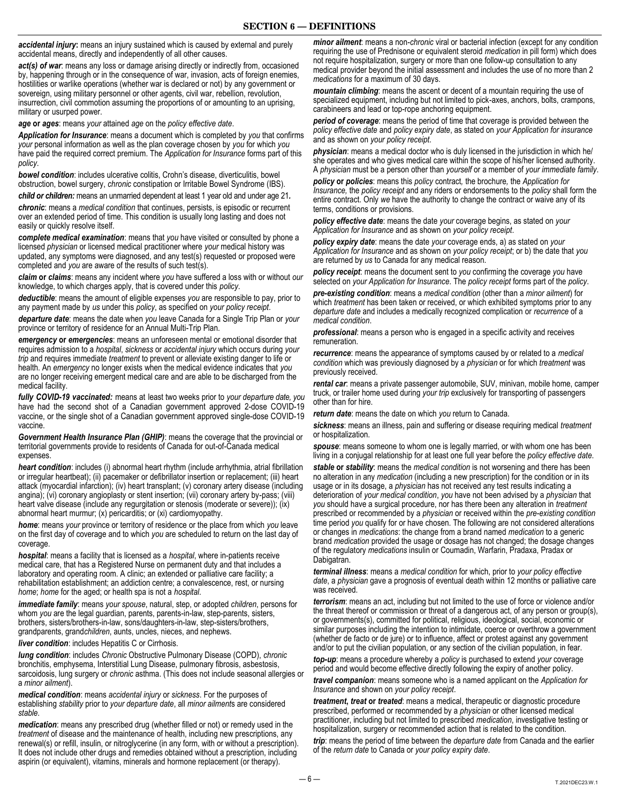accidental injury: means an injury sustained which is caused by external and purely accidental means, directly and independently of all other causes.

*act(s) of war*: means any loss or damage arising directly or indirectly from, occasioned by, happening through or in the consequence of war, invasion, acts of foreign enemies, hostilities or warlike operations (whether war is declared or not) by any government or sovereign, using military personnel or other agents, civil war, rebellion, revolution, insurrection, civil commotion assuming the proportions of or amounting to an uprising, military or usurped power.

*age* **or** *ages*: means *your* attained *age* on the *policy effective date*.

*Application for Insurance*: means a document which is completed by *you* that confirms *your* personal information as well as the plan coverage chosen by *you* for which *you*  have paid the required correct premium. The *Application for Insurance* forms part of this *policy*.

*bowel condition*: includes ulcerative colitis, Crohn's disease, diverticulitis, bowel obstruction, bowel surgery, *chronic* constipation or Irritable Bowel Syndrome (IBS). *child or children:* means an unmarried dependent at least 1 year old and under age 21*.* 

*chronic*: means a *medical condition* that continues, persists, is episodic or recurrent over an extended period of time. This condition is usually long lasting and does not easily or quickly resolve itself.

*complete medical examination*: means that *you* have visited or consulted by phone a licensed *physician* or licensed medical practitioner where *your* medical history was updated, any symptoms were diagnosed, and any test(s) requested or proposed were completed and *you* are aware of the results of such test(s).

*claim* **or** *claims*: means any incident where *you* have suffered a loss with or without *our*  knowledge, to which charges apply, that is covered under this *policy*.

*deductible*: means the amount of eligible expenses *you* are responsible to pay, prior to any payment made by *us* under this *policy*, as specified on *your policy receipt*.

*departure date*: means the date when *you* leave Canada for a Single Trip Plan or *your*  province or territory of residence for an Annual Multi-Trip Plan.

*emergency* **or** *emergencies*: means an unforeseen mental or emotional disorder that requires admission to a *hospital*, *sickness* or *accidental injury* which occurs during *your trip* and requires immediate *treatment* to prevent or alleviate existing danger to life or health. An *emergency* no longer exists when the medical evidence indicates that *you*  are no longer receiving emergent medical care and are able to be discharged from the medical facility.

*fully COVID-19 vaccinated:* means at least two weeks prior to *your departure date, you*  have had the second shot of a Canadian government approved 2-dose COVID-19 vaccine, or the single shot of a Canadian government approved single-dose COVID-19 vaccine.

*Government Health Insurance Plan (GHIP)*: means the coverage that the provincial or territorial governments provide to residents of Canada for out-of-Canada medical expenses.

*heart condition*: includes (i) abnormal heart rhythm (include arrhythmia, atrial fibrillation or irregular heartbeat); (ii) pacemaker or defibrillator insertion or replacement; (iii) heart attack (myocardial infarction); (iv) heart transplant; (v) coronary artery disease (including angina); (vi) coronary angioplasty or stent insertion; (vii) coronary artery by-pass; (viii) heart valve disease (include any regurgitation or stenosis (moderate or severe)); (ix) abnormal heart murmur; (x) pericarditis; or (xi) cardiomyopathy.

*home*: means *your* province or territory of residence or the place from which *you* leave on the first day of coverage and to which *you* are scheduled to return on the last day of coverage.

*hospital*: means a facility that is licensed as a *hospital*, where in-patients receive medical care, that has a Registered Nurse on permanent duty and that includes a laboratory and operating room. A clinic; an extended or palliative care facility; a rehabilitation establishment; an addiction centre; a convalescence, rest, or nursing *home*; *home* for the aged; or health spa is not a *hospital*.

*immediate family*: means *your spouse*, natural, step, or adopted *children*, persons for whom *you* are the legal guardian, parents, parents-in-law, step-parents, sisters, brothers, sisters/brothers-in-law, sons/daughters-in-law, step-sisters/brothers, grandparents, grand*children*, aunts, uncles, nieces, and nephews.

*liver condition:* includes Hepatitis C or Cirrhosis.

*lung condition*: includes *Chronic* Obstructive Pulmonary Disease (COPD), *chronic*  bronchitis, emphysema, Interstitial Lung Disease, pulmonary fibrosis, asbestosis, sarcoidosis, lung surgery or *chronic* asthma. (This does not include seasonal allergies or a *minor ailment*).

*medical condition*: means *accidental injury* or *sickness*. For the purposes of establishing *stability* prior to *your departure date*, all *minor ailment*s are considered *stable*.

*medication*: means any prescribed drug (whether filled or not) or remedy used in the *treatment* of disease and the maintenance of health, including new prescriptions, any renewal(s) or refill, insulin, or nitroglycerine (in any form, with or without a prescription). It does not include other drugs and remedies obtained without a prescription, including aspirin (or equivalent), vitamins, minerals and hormone replacement (or therapy).

*minor ailment*: means a non-*chronic* viral or bacterial infection (except for any condition requiring the use of Prednisone or equivalent steroid *medication* in pill form) which does not require hospitalization, surgery or more than one follow-up consultation to any medical provider beyond the initial assessment and includes the use of no more than 2 *medications* for a maximum of 30 days.

*mountain climbing*: means the ascent or decent of a mountain requiring the use of specialized equipment, including but not limited to pick-axes, anchors, bolts, crampons, carabineers and lead or top-rope anchoring equipment.

*period of coverage*: means the period of time that coverage is provided between the *policy effective date* and *policy expiry date*, as stated on *your Application for insurance*  and as shown on *your policy receipt*.

*physician*: means a medical doctor who is duly licensed in the jurisdiction in which he/ she operates and who gives medical care within the scope of his/her licensed authority. A *physician* must be a person other than *yourself* or a member of *your immediate family*.

*policy* **or** *policies*: means this *policy* contract*,* the brochure*,* the *Application for Insurance,* the *policy receipt* and any riders or endorsements to the *policy* shall form the entire contract. Only *we* have the authority to change the contract or waive any of its terms, conditions or provisions.

*policy effective date*: means the date *your* coverage begins, as stated on *your Application for Insurance* and as shown on *your policy receipt*.

*policy expiry date*: means the date *your* coverage ends, a) as stated on *your Application for Insurance* and as shown on *your policy receipt*; or b) the date that *you*  are returned by *us* to Canada for any medical reason.

*policy receipt*: means the document sent to *you* confirming the coverage *you* have selected on *your Application for Insurance*. The *policy receipt* forms part of the *policy*.

*pre-existing condition*: means a *medical condition* (other than a *minor ailment*) for which *treatment* has been taken or received, or which exhibited symptoms prior to any *departure date* and includes a medically recognized complication or *recurrence* of a *medical condition*.

*professional*: means a person who is engaged in a specific activity and receives remuneration.

*recurrence*: means the appearance of symptoms caused by or related to a *medical condition* which was previously diagnosed by a *physician* or for which *treatment* was previously received.

*rental car*: means a private passenger automobile, SUV, minivan, mobile home, camper truck, or trailer home used during *your trip* exclusively for transporting of passengers other than for hire.

*return date*: means the date on which *you* return to Canada.

*sickness*: means an illness, pain and suffering or disease requiring medical *treatment*  or hospitalization.

*spouse*: means someone to whom one is legally married, or with whom one has been living in a conjugal relationship for at least one full year before the *policy effective date*.

*stable* **or** *stability*: means the *medical condition* is not worsening and there has been no alteration in any *medication* (including a new prescription) for the condition or in its usage or in its dosage, a *physician* has not received any test results indicating a deterioration of *your medical condition*, *you* have not been advised by a *physician* that *you* should have a surgical procedure, nor has there been any alteration in *treatment*  prescribed or recommended by a *physician* or received within the *pre-existing condition*  time period *you* qualify for or have chosen. The following are not considered alterations or changes in *medications*: the change from a brand named *medication* to a generic brand *medication* provided the usage or dosage has not changed; the dosage changes of the regulatory *medications* insulin or Coumadin, Warfarin, Pradaxa, Pradax or Dabigatran.

*terminal illness*: means a *medical condition* for which, prior to *your policy effective date*, a *physician* gave a prognosis of eventual death within 12 months or palliative care was received.

*terrorism*: means an act, including but not limited to the use of force or violence and/or the threat thereof or commission or threat of a dangerous act, of any person or group(s), or governments(s), committed for political, religious, ideological, social, economic or similar purposes including the intention to intimidate, coerce or overthrow a government (whether de facto or de jure) or to influence, affect or protest against any government and/or to put the civilian population, or any section of the civilian population, in fear.

*top-up*: means a procedure whereby a *policy* is purchased to extend *your* coverage period and would become effective directly following the expiry of another policy.

*travel companion*: means someone who is a named applicant on the *Application for Insurance* and shown on *your policy receipt*.

*treatment***,** *treat* **or** *treated*: means a medical, therapeutic or diagnostic procedure prescribed, performed or recommended by a *physician* or other licensed medical practitioner, including but not limited to prescribed *medication*, investigative testing or hospitalization, surgery or recommended action that is related to the condition. *trip*: means the period of time between the *departure date* from Canada and the earlier

of the *return date* to Canada or *your policy expiry date*.